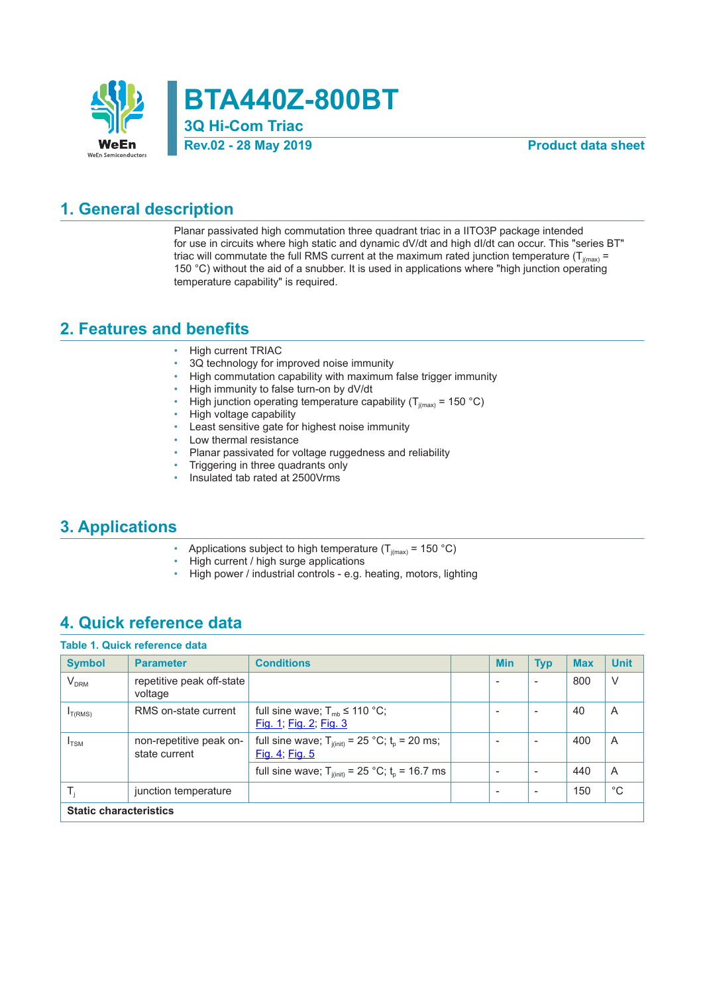

**BTA440Z-800BT**

**3Q Hi-Com Triac Rev.02 - 28 May 2019 Product data sheet**

### **1. General description**

Planar passivated high commutation three quadrant triac in a IITO3P package intended for use in circuits where high static and dynamic dV/dt and high dI/dt can occur. This "series BT" triac will commutate the full RMS current at the maximum rated junction temperature ( $T_{j(max)}$  = 150 °C) without the aid of a snubber. It is used in applications where "high junction operating temperature capability" is required.

#### **2. Features and benefits**

- High current TRIAC
- 3Q technology for improved noise immunity
- High commutation capability with maximum false trigger immunity
- High immunity to false turn-on by dV/dt
- High junction operating temperature capability ( $T_{j(max)}$  = 150 °C)
- High voltage capability
- Least sensitive gate for highest noise immunity
- Low thermal resistance
- Planar passivated for voltage ruggedness and reliability
- Triggering in three quadrants only
- Insulated tab rated at 2500Vrms

### **3. Applications**

- Applications subject to high temperature ( $T_{j(max)}$  = 150 °C)
- High current / high surge applications
- High power / industrial controls e.g. heating, motors, lighting

### **4. Quick reference data**

|                               | Table 1. Quick reference data            |                                                                         |  |                          |                          |            |             |
|-------------------------------|------------------------------------------|-------------------------------------------------------------------------|--|--------------------------|--------------------------|------------|-------------|
| <b>Symbol</b>                 | <b>Parameter</b>                         | <b>Conditions</b>                                                       |  | <b>Min</b>               | <b>Typ</b>               | <b>Max</b> | <b>Unit</b> |
| <b>V<sub>DRM</sub></b>        | repetitive peak off-state<br>voltage     |                                                                         |  |                          |                          | 800        | V           |
| $I_{T(RMS)}$                  | RMS on-state current                     | full sine wave; $T_{mb} \leq 110 \degree C$ ;<br>Fig. 1; Fig. 2; Fig. 3 |  |                          |                          | 40         | A           |
| $I_{\text{TSM}}$              | non-repetitive peak on-<br>state current | full sine wave; $T_{j(int)} = 25$ °C; $t_p = 20$ ms;<br>Fig. 4; Fig. 5  |  |                          |                          | 400        | A           |
|                               |                                          | full sine wave; $T_{i(int)} = 25 °C$ ; $t_0 = 16.7$ ms                  |  | $\overline{\phantom{a}}$ | $\overline{\phantom{a}}$ | 440        | A           |
| т,                            | junction temperature                     |                                                                         |  |                          | $\overline{\phantom{a}}$ | 150        | $^{\circ}C$ |
| <b>Static characteristics</b> |                                          |                                                                         |  |                          |                          |            |             |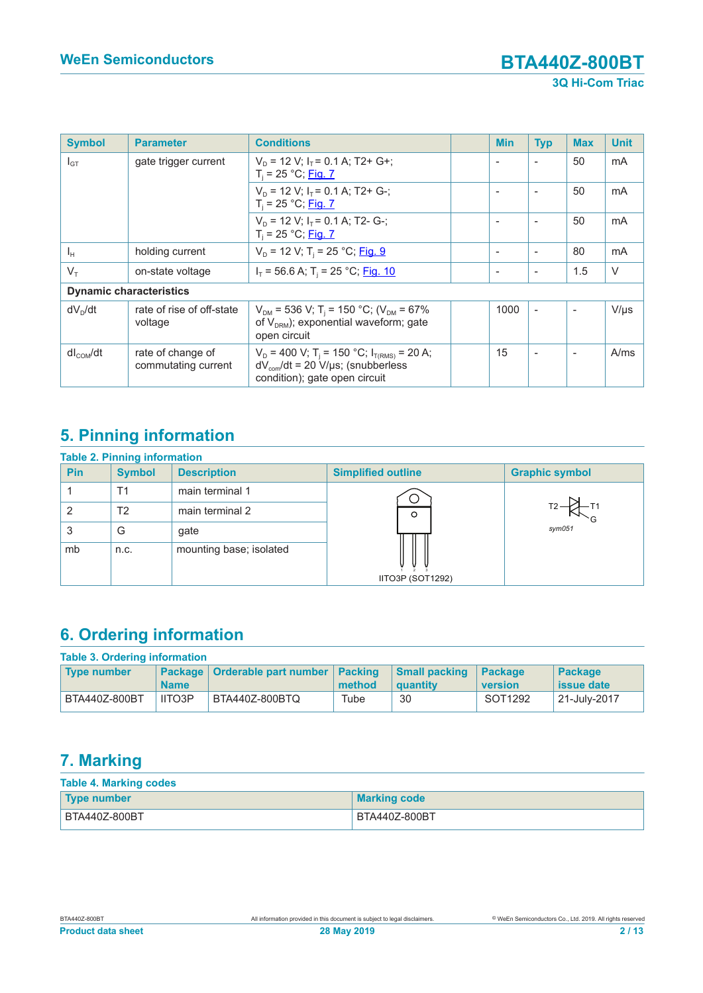| <b>Symbol</b>                  | <b>Parameter</b>                         | <b>Conditions</b>                                                                                                                                 |  | <b>Min</b> | <b>Typ</b>               | <b>Max</b>               | <b>Unit</b> |
|--------------------------------|------------------------------------------|---------------------------------------------------------------------------------------------------------------------------------------------------|--|------------|--------------------------|--------------------------|-------------|
| $I_{GT}$                       | gate trigger current                     | $V_D$ = 12 V; $I_T$ = 0.1 A; T2+ G+;<br>$T_i = 25 °C;$ Fig. 7                                                                                     |  |            |                          | 50                       | mA          |
|                                |                                          | $V_D$ = 12 V; $I_T$ = 0.1 A; T2+ G-;<br>$T_i = 25 °C;$ Fig. 7                                                                                     |  |            |                          | 50                       | mA          |
|                                |                                          | $V_D$ = 12 V; $I_T$ = 0.1 A; T2- G-;<br>$T_i = 25 °C;$ Fig. 7                                                                                     |  |            | $\overline{\phantom{0}}$ | 50                       | mA          |
| $I_H$                          | holding current                          | $V_D$ = 12 V; T <sub>i</sub> = 25 °C; Fig. 9                                                                                                      |  |            | $\overline{\phantom{a}}$ | 80                       | mA          |
| $V_{\tau}$                     | on-state voltage                         | $I_T$ = 56.6 A; T <sub>i</sub> = 25 °C; <u>Fig. 10</u>                                                                                            |  |            | $\overline{\phantom{a}}$ | 1.5                      | $\vee$      |
| <b>Dynamic characteristics</b> |                                          |                                                                                                                                                   |  |            |                          |                          |             |
| $dV_D/dt$                      | rate of rise of off-state<br>voltage     | $V_{DM}$ = 536 V; T <sub>i</sub> = 150 °C; (V <sub>DM</sub> = 67%<br>of $V_{DRM}$ ); exponential waveform; gate<br>open circuit                   |  | 1000       | $\blacksquare$           | $\overline{\phantom{a}}$ | $V/\mu s$   |
| $dl_{\text{COM}}/dt$           | rate of change of<br>commutating current | $V_D = 400$ V; T <sub>i</sub> = 150 °C; I <sub>T(RMS)</sub> = 20 A;<br>$dV_{com}/dt = 20 V/\mu s$ ; (snubberless<br>condition); gate open circuit |  | 15         |                          |                          | A/ms        |

# **5. Pinning information**

| <b>Table 2. Pinning information</b> |               |                         |                           |                       |  |  |  |
|-------------------------------------|---------------|-------------------------|---------------------------|-----------------------|--|--|--|
| Pin                                 | <b>Symbol</b> | <b>Description</b>      | <b>Simplified outline</b> | <b>Graphic symbol</b> |  |  |  |
|                                     | Τ1            | main terminal 1         |                           |                       |  |  |  |
| 2                                   | T2            | main terminal 2         | $\circ$                   |                       |  |  |  |
| 3                                   | G             | gate                    |                           | $s$ <i>ym</i> $051$   |  |  |  |
| mb                                  | n.c.          | mounting base; isolated |                           |                       |  |  |  |
|                                     |               |                         | IITO3P (SOT1292)          |                       |  |  |  |

# **6. Ordering information**

| <b>Table 3. Ordering information</b> |               |                                           |        |                                  |                           |                              |  |  |
|--------------------------------------|---------------|-------------------------------------------|--------|----------------------------------|---------------------------|------------------------------|--|--|
| <b>Type number</b>                   | <b>Name</b>   | Package   Orderable part number   Packing | method | <b>Small packing</b><br>quantity | <b>Package</b><br>version | Package<br><b>issue date</b> |  |  |
| BTA440Z-800BT                        | <b>IITO3P</b> | BTA440Z-800BTQ                            | Tube   | 30                               | SOT1292                   | 21-July-2017                 |  |  |

## **7. Marking**

| <b>Table 4. Marking codes</b> |                     |  |  |  |  |
|-------------------------------|---------------------|--|--|--|--|
| Type number                   | <b>Marking code</b> |  |  |  |  |
| BTA440Z-800BT                 | BTA440Z-800BT       |  |  |  |  |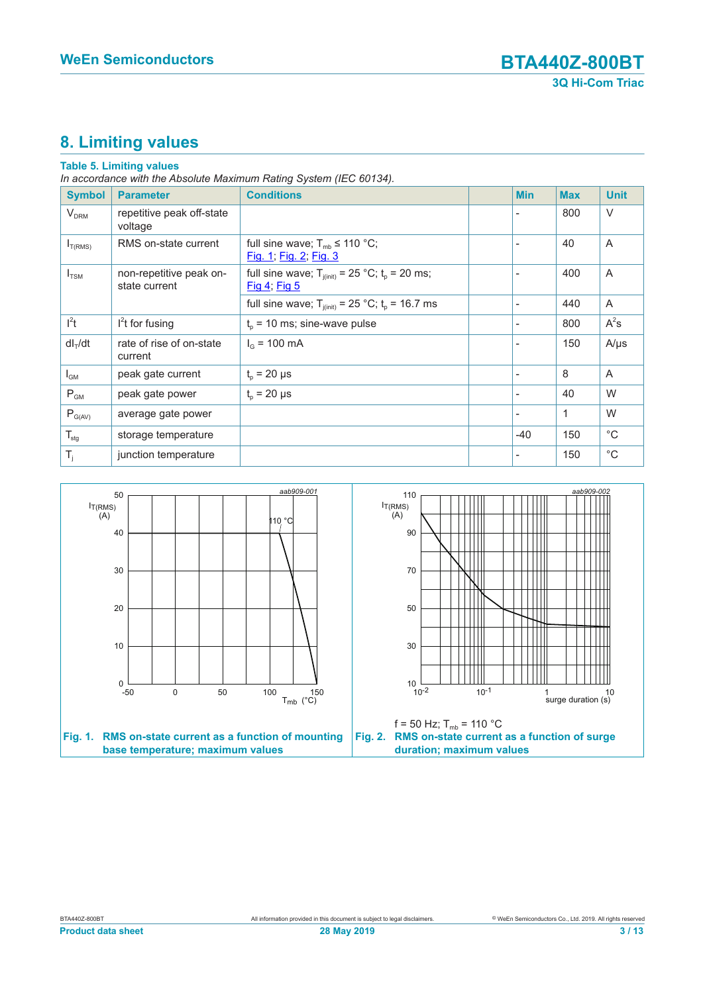# **8. Limiting values**

#### **Table 5. Limiting values**

*In accordance with the Absolute Maximum Rating System (IEC 60134).*

| <b>Symbol</b>       | <b>Parameter</b>                         | <b>Conditions</b>                                                       |                          | <b>Min</b> | <b>Max</b>   | <b>Unit</b>    |
|---------------------|------------------------------------------|-------------------------------------------------------------------------|--------------------------|------------|--------------|----------------|
| V <sub>DRM</sub>    | repetitive peak off-state<br>voltage     |                                                                         |                          |            | 800          | $\vee$         |
| $I_{T(RMS)}$        | RMS on-state current                     | full sine wave; $T_{mb} \leq 110 \degree C$ ;<br>Fig. 1; Fig. 2; Fig. 3 |                          |            | 40           | $\overline{A}$ |
| $I_{TSM}$           | non-repetitive peak on-<br>state current | full sine wave; $T_{j(int)} = 25$ °C; $t_p = 20$ ms;<br>Fig 4; Fig 5    | $\overline{\phantom{a}}$ |            | 400          | A              |
|                     |                                          | full sine wave; $T_{j(int)} = 25$ °C; $t_p = 16.7$ ms                   | $\overline{\phantom{a}}$ |            | 440          | A              |
| $l^2t$              | $l2t$ for fusing                         | $t_0$ = 10 ms; sine-wave pulse                                          |                          |            | 800          | $A^2s$         |
| dI <sub>T</sub> /dt | rate of rise of on-state<br>current      | $I_{\odot}$ = 100 mA                                                    | $\overline{\phantom{a}}$ |            | 150          | $A/\mu s$      |
| $I_{GM}$            | peak gate current                        | $t_{p}$ = 20 µs                                                         |                          |            | 8            | A              |
| $P_{GM}$            | peak gate power                          | $t_{p}$ = 20 µs                                                         | $\overline{\phantom{a}}$ |            | 40           | W              |
| $P_{G(AV)}$         | average gate power                       |                                                                         | $\overline{\phantom{a}}$ |            | $\mathbf{1}$ | W              |
| $T_{\text{stg}}$    | storage temperature                      |                                                                         |                          | $-40$      | 150          | $^{\circ}C$    |
| $T_i$               | junction temperature                     |                                                                         |                          |            | 150          | $^{\circ}$ C   |

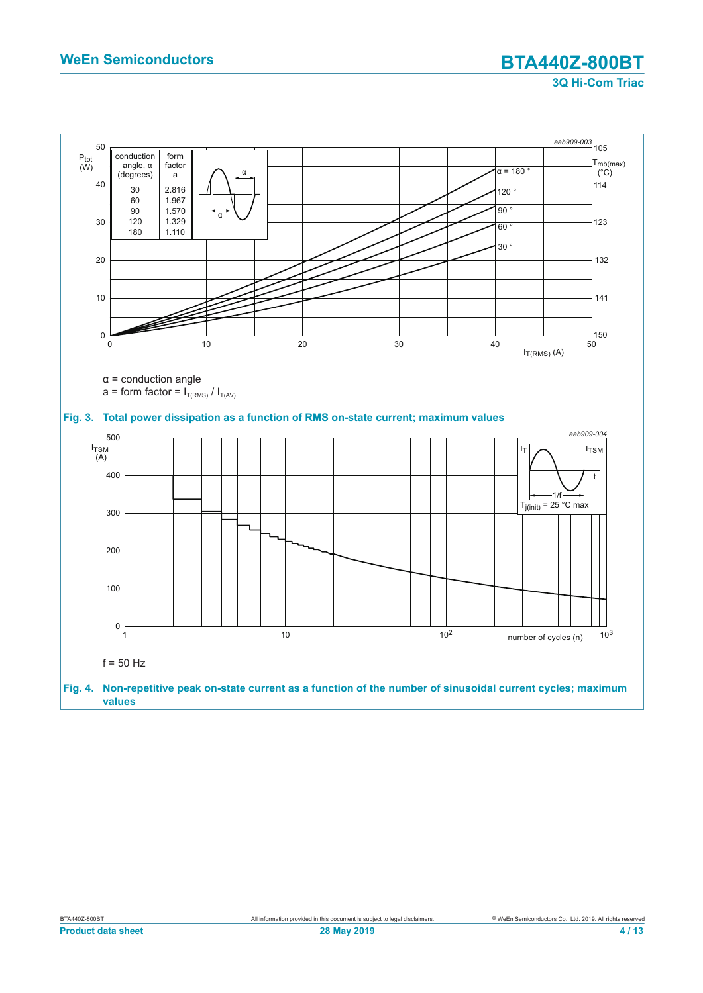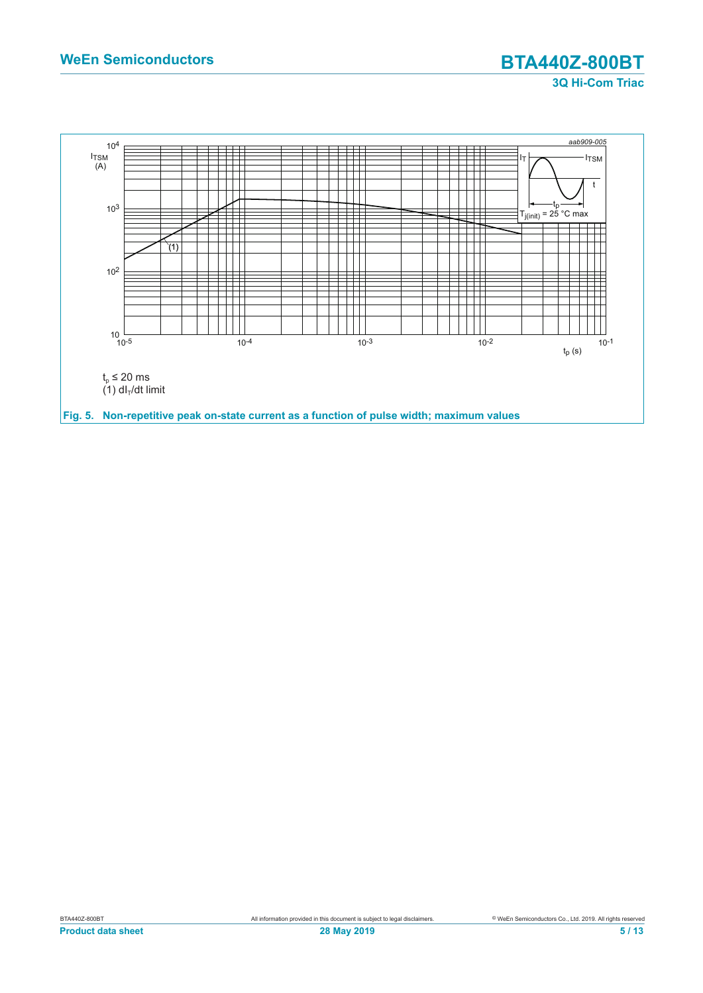## **WeEn Semiconductors BTA440Z-800BT 3Q Hi-Com Triac**

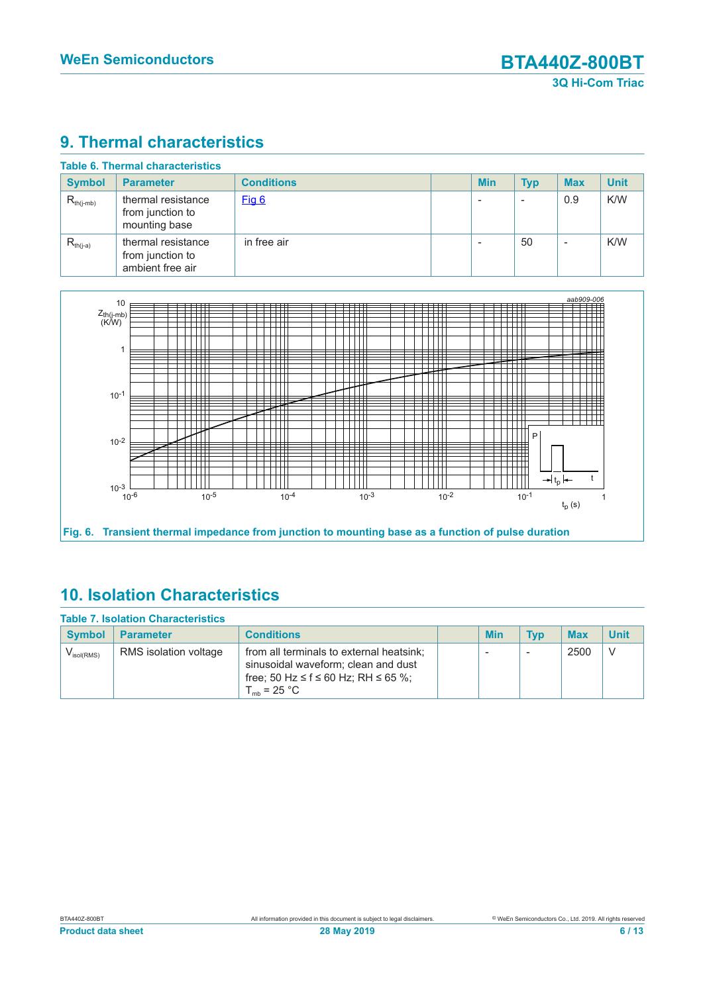# **9. Thermal characteristics**

| <b>Symbol</b>  | <b>Parameter</b>                                           | <b>Conditions</b> | <b>Min</b> | <b>Typ</b> | <b>Max</b>               | <b>Unit</b> |
|----------------|------------------------------------------------------------|-------------------|------------|------------|--------------------------|-------------|
| $R_{th(j-mb)}$ | thermal resistance<br>from junction to<br>mounting base    | Fig 6             |            |            | 0.9                      | K/W         |
| $R_{th(i-a)}$  | thermal resistance<br>from junction to<br>ambient free air | in free air       |            | 50         | $\overline{\phantom{a}}$ | K/W         |



#### **Fig. 6. Transient thermal impedance from junction to mounting base as a function of pulse duration**

## **10. Isolation Characteristics**

| <b>Table 7. Isolation Characteristics</b> |                       |                                                                                                                                                   |  |                          |                          |            |             |  |
|-------------------------------------------|-----------------------|---------------------------------------------------------------------------------------------------------------------------------------------------|--|--------------------------|--------------------------|------------|-------------|--|
| <b>Symbol</b>                             | <b>Parameter</b>      | <b>Conditions</b>                                                                                                                                 |  | Min                      | <b>Typ</b>               | <b>Max</b> | <b>Unit</b> |  |
| $V_{\text{isol(RMS)}}$                    | RMS isolation voltage | from all terminals to external heatsink;<br>sinusoidal waveform; clean and dust<br>free; 50 Hz ≤ f ≤ 60 Hz; RH ≤ 65 %;<br>$T_{\text{mb}}$ = 25 °C |  | $\overline{\phantom{a}}$ | $\overline{\phantom{a}}$ | 2500       | V           |  |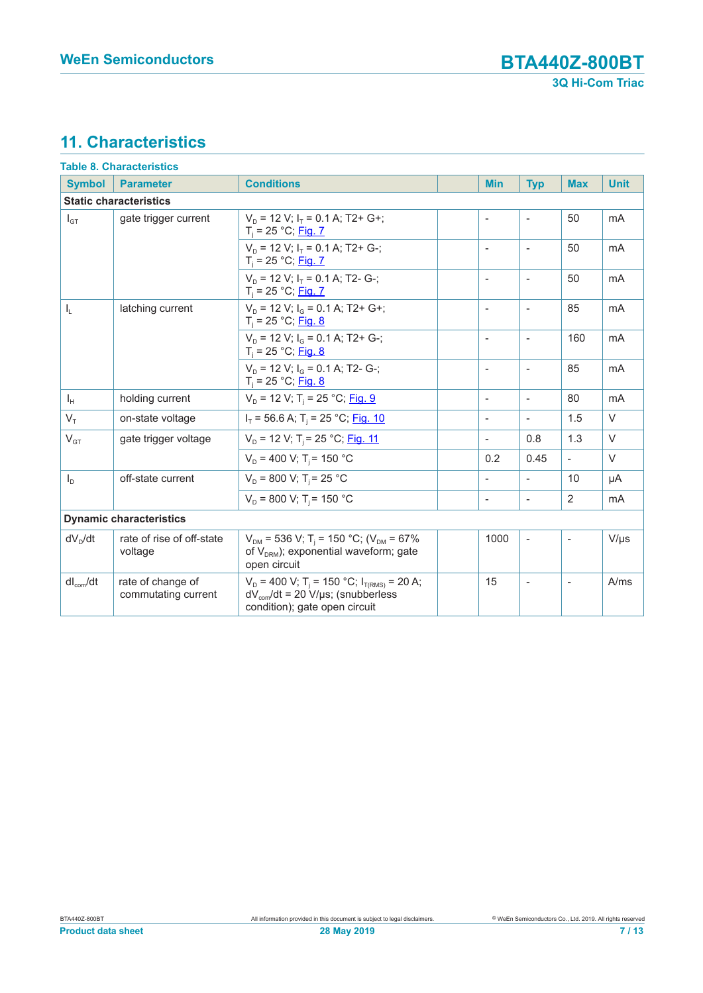# **11. Characteristics**

| <b>Table 8. Characteristics</b> |                                          |                                                                                                                                                                        |                          |                          |                          |                |  |  |
|---------------------------------|------------------------------------------|------------------------------------------------------------------------------------------------------------------------------------------------------------------------|--------------------------|--------------------------|--------------------------|----------------|--|--|
| <b>Symbol</b>                   | <b>Parameter</b>                         | <b>Conditions</b>                                                                                                                                                      | <b>Min</b>               | <b>Typ</b>               | <b>Max</b>               | <b>Unit</b>    |  |  |
| <b>Static characteristics</b>   |                                          |                                                                                                                                                                        |                          |                          |                          |                |  |  |
| $I_{GT}$                        | gate trigger current                     | $V_D$ = 12 V; $I_T$ = 0.1 A; T2+ G+;<br>$T_i = 25 °C;$ Fig. 7                                                                                                          | $\overline{\phantom{a}}$ | $\overline{\phantom{a}}$ | 50                       | mA             |  |  |
|                                 |                                          | $V_D$ = 12 V; $I_T$ = 0.1 A; T2+ G-;<br>$T_i = 25 °C;$ Fig. 7                                                                                                          | $\overline{\phantom{a}}$ | $\overline{\phantom{a}}$ | 50                       | mA             |  |  |
|                                 |                                          | $V_D$ = 12 V; $I_T$ = 0.1 A; T2- G-;<br>$T_i = 25 °C;$ Fig. 7                                                                                                          | $\overline{\phantom{0}}$ | $\overline{\phantom{a}}$ | 50                       | mA             |  |  |
| $I_L$                           | latching current                         | $V_D$ = 12 V; $I_G$ = 0.1 A; T2+ G+;<br>$T_i = 25 °C;$ Fig. 8                                                                                                          | $\overline{\phantom{a}}$ | $\overline{\phantom{a}}$ | 85                       | mA             |  |  |
|                                 |                                          | $V_D$ = 12 V; $I_G$ = 0.1 A; T2+ G-;<br>$T_i = 25 °C;$ Fig. 8                                                                                                          | $\overline{\phantom{a}}$ | $\overline{\phantom{a}}$ | 160                      | mA             |  |  |
|                                 |                                          | $V_p = 12$ V; $I_q = 0.1$ A; T2- G-;<br>$T_i = 25 °C;$ Fig. 8                                                                                                          | $\overline{\phantom{a}}$ | $\overline{\phantom{a}}$ | 85                       | m <sub>A</sub> |  |  |
| $I_{H}$                         | holding current                          | $V_D$ = 12 V; T <sub>i</sub> = 25 °C; Fig. 9                                                                                                                           | $\overline{\phantom{a}}$ | $\blacksquare$           | 80                       | mA             |  |  |
| $V_{\tau}$                      | on-state voltage                         | $I_T$ = 56.6 A; T <sub>i</sub> = 25 °C; Fig. 10                                                                                                                        | $\blacksquare$           | $\blacksquare$           | 1.5                      | $\vee$         |  |  |
| $V_{GT}$                        | gate trigger voltage                     | $V_D$ = 12 V; T <sub>i</sub> = 25 °C; Fig. 11                                                                                                                          | $\overline{\phantom{a}}$ | 0.8                      | 1.3                      | $\vee$         |  |  |
|                                 |                                          | $V_D$ = 400 V; T <sub>i</sub> = 150 °C                                                                                                                                 | 0.2                      | 0.45                     | $\overline{\phantom{a}}$ | $\vee$         |  |  |
| $I_D$                           | off-state current                        | $V_{\rm p}$ = 800 V; T <sub>i</sub> = 25 °C                                                                                                                            | $\overline{\phantom{a}}$ | $\overline{\phantom{a}}$ | 10                       | μA             |  |  |
|                                 |                                          | $V_p = 800$ V; T <sub>i</sub> = 150 °C                                                                                                                                 | $\overline{\phantom{a}}$ | $\overline{\phantom{a}}$ | 2                        | mA             |  |  |
|                                 | <b>Dynamic characteristics</b>           |                                                                                                                                                                        |                          |                          |                          |                |  |  |
| $dV_D/dt$                       | rate of rise of off-state<br>voltage     | $V_{DM}$ = 536 V; T <sub>i</sub> = 150 °C; (V <sub>DM</sub> = 67%<br>of $V_{DRM}$ ); exponential waveform; gate<br>open circuit                                        | 1000                     | $\overline{\phantom{a}}$ |                          | $V/\mu s$      |  |  |
| $dl_{com}/dt$                   | rate of change of<br>commutating current | $V_D$ = 400 V; T <sub>i</sub> = 150 °C; I <sub>T(RMS)</sub> = 20 A;<br>$dV_{\text{com}}/dt = 20 \text{ V/}\mu\text{s}$ ; (snubberless<br>condition); gate open circuit | 15                       | $\overline{\phantom{a}}$ | $\overline{\phantom{a}}$ | A/ms           |  |  |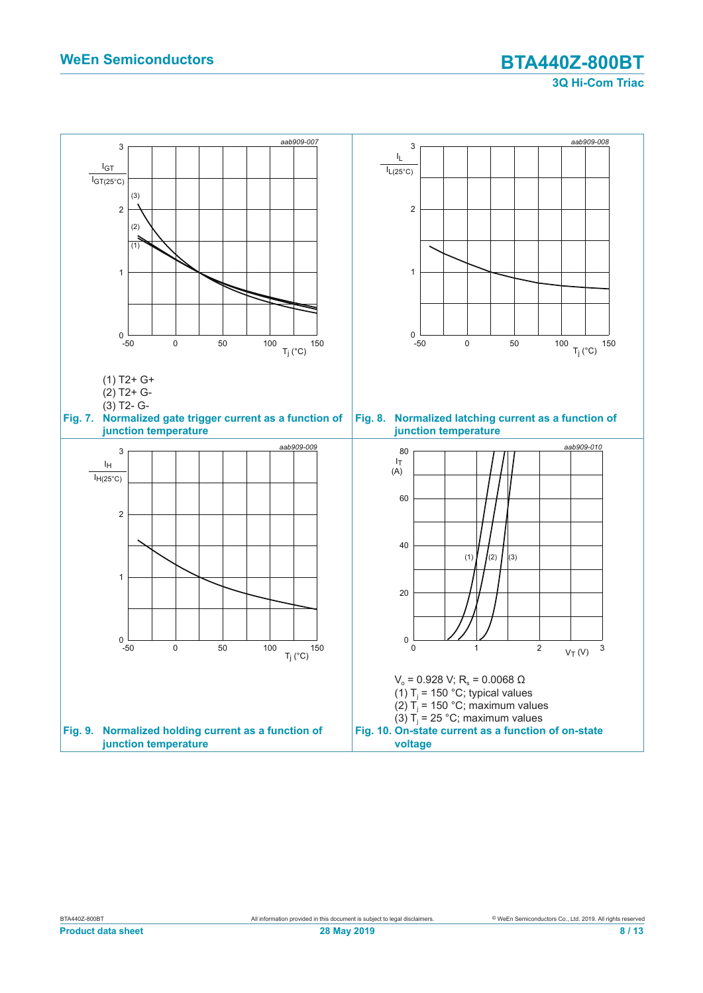**3Q Hi-Com Triac**

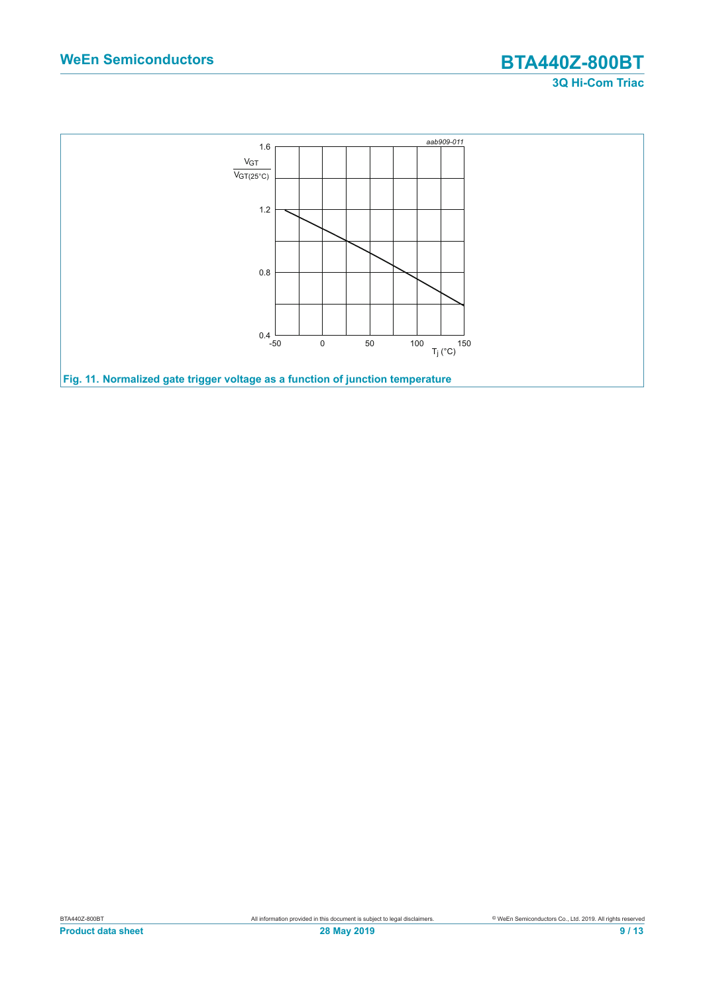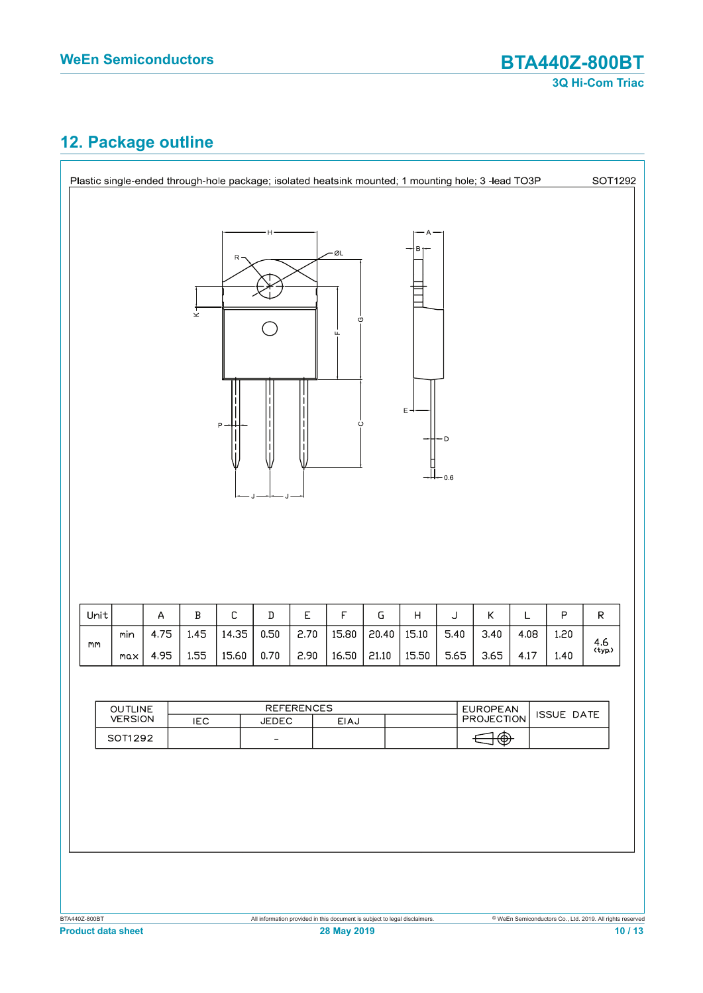# **12. Package outline**

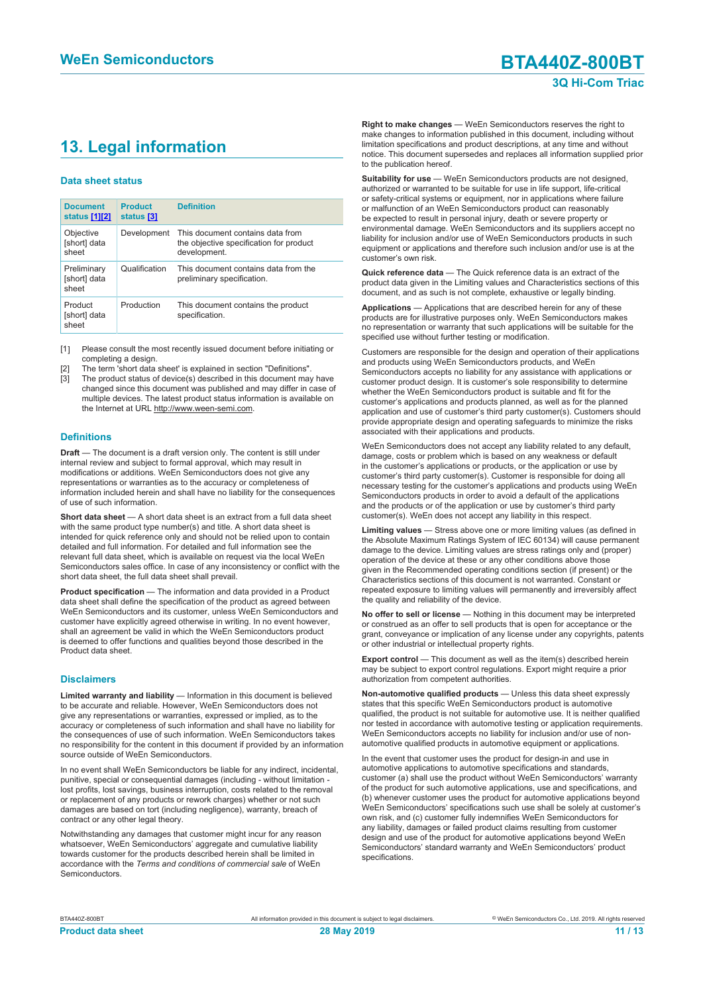# **13. Legal information**

#### **Data sheet status**

| <b>Document</b><br>status [1][2]     | <b>Product</b><br>status [3] | <b>Definition</b>                                                                           |
|--------------------------------------|------------------------------|---------------------------------------------------------------------------------------------|
| Objective<br>[short] data<br>sheet   | Development                  | This document contains data from<br>the objective specification for product<br>development. |
| Preliminary<br>[short] data<br>sheet | Qualification                | This document contains data from the<br>preliminary specification.                          |
| Product<br>[short] data<br>sheet     | Production                   | This document contains the product<br>specification.                                        |

[1] Please consult the most recently issued document before initiating or completing a design.

- [2] The term 'short data sheet' is explained in section "Definitions".
- [3] The product status of device(s) described in this document may have changed since this document was published and may differ in case of multiple devices. The latest product status information is available on the Internet at URL http://www.ween-semi.com.

#### **Definitions**

**Draft** — The document is a draft version only. The content is still under internal review and subject to formal approval, which may result in modifications or additions. WeEn Semiconductors does not give any representations or warranties as to the accuracy or completeness of information included herein and shall have no liability for the consequences of use of such information.

**Short data sheet** — A short data sheet is an extract from a full data sheet with the same product type number(s) and title. A short data sheet is intended for quick reference only and should not be relied upon to contain detailed and full information. For detailed and full information see the relevant full data sheet, which is available on request via the local WeEn Semiconductors sales office. In case of any inconsistency or conflict with the short data sheet, the full data sheet shall prevail.

**Product specification** — The information and data provided in a Product data sheet shall define the specification of the product as agreed between WeEn Semiconductors and its customer, unless WeEn Semiconductors and customer have explicitly agreed otherwise in writing. In no event however, shall an agreement be valid in which the WeEn Semiconductors product is deemed to offer functions and qualities beyond those described in the Product data sheet.

#### **Disclaimers**

**Limited warranty and liability** — Information in this document is believed to be accurate and reliable. However, WeEn Semiconductors does not give any representations or warranties, expressed or implied, as to the accuracy or completeness of such information and shall have no liability for the consequences of use of such information. WeEn Semiconductors takes no responsibility for the content in this document if provided by an information source outside of WeEn Semiconductors.

In no event shall WeEn Semiconductors be liable for any indirect, incidental, punitive, special or consequential damages (including - without limitation lost profits, lost savings, business interruption, costs related to the removal or replacement of any products or rework charges) whether or not such damages are based on tort (including negligence), warranty, breach of contract or any other legal theory.

Notwithstanding any damages that customer might incur for any reason whatsoever, WeEn Semiconductors' aggregate and cumulative liability towards customer for the products described herein shall be limited in accordance with the *Terms and conditions of commercial sale* of WeEn **Semiconductors** 

**Right to make changes** — WeEn Semiconductors reserves the right to make changes to information published in this document, including without limitation specifications and product descriptions, at any time and without notice. This document supersedes and replaces all information supplied prior to the publication hereof.

**Suitability for use** — WeEn Semiconductors products are not designed, authorized or warranted to be suitable for use in life support, life-critical or safety-critical systems or equipment, nor in applications where failure or malfunction of an WeEn Semiconductors product can reasonably be expected to result in personal injury, death or severe property or environmental damage. WeEn Semiconductors and its suppliers accept no liability for inclusion and/or use of WeEn Semiconductors products in such equipment or applications and therefore such inclusion and/or use is at the customer's own risk.

**Quick reference data** — The Quick reference data is an extract of the product data given in the Limiting values and Characteristics sections of this document, and as such is not complete, exhaustive or legally binding.

**Applications** — Applications that are described herein for any of these products are for illustrative purposes only. WeEn Semiconductors makes no representation or warranty that such applications will be suitable for the specified use without further testing or modification.

Customers are responsible for the design and operation of their applications and products using WeEn Semiconductors products, and WeEn Semiconductors accepts no liability for any assistance with applications or customer product design. It is customer's sole responsibility to determine whether the WeEn Semiconductors product is suitable and fit for the customer's applications and products planned, as well as for the planned application and use of customer's third party customer(s). Customers should provide appropriate design and operating safeguards to minimize the risks associated with their applications and products.

WeEn Semiconductors does not accept any liability related to any default, damage, costs or problem which is based on any weakness or default in the customer's applications or products, or the application or use by customer's third party customer(s). Customer is responsible for doing all necessary testing for the customer's applications and products using WeEn Semiconductors products in order to avoid a default of the applications and the products or of the application or use by customer's third party customer(s). WeEn does not accept any liability in this respect.

**Limiting values** — Stress above one or more limiting values (as defined in the Absolute Maximum Ratings System of IEC 60134) will cause permanent damage to the device. Limiting values are stress ratings only and (proper) operation of the device at these or any other conditions above those given in the Recommended operating conditions section (if present) or the Characteristics sections of this document is not warranted. Constant or repeated exposure to limiting values will permanently and irreversibly affect the quality and reliability of the device.

**No offer to sell or license** — Nothing in this document may be interpreted or construed as an offer to sell products that is open for acceptance or the grant, conveyance or implication of any license under any copyrights, patents or other industrial or intellectual property rights.

**Export control** — This document as well as the item(s) described herein may be subject to export control regulations. Export might require a prior authorization from competent authorities.

**Non-automotive qualified products** — Unless this data sheet expressly states that this specific WeEn Semiconductors product is automotive qualified, the product is not suitable for automotive use. It is neither qualified nor tested in accordance with automotive testing or application requirements. WeEn Semiconductors accepts no liability for inclusion and/or use of nonautomotive qualified products in automotive equipment or applications.

In the event that customer uses the product for design-in and use in automotive applications to automotive specifications and standards, customer (a) shall use the product without WeEn Semiconductors' warranty of the product for such automotive applications, use and specifications, and (b) whenever customer uses the product for automotive applications beyond WeEn Semiconductors' specifications such use shall be solely at customer's own risk, and (c) customer fully indemnifies WeEn Semiconductors for any liability, damages or failed product claims resulting from customer design and use of the product for automotive applications beyond WeEn Semiconductors' standard warranty and WeEn Semiconductors' product specifications.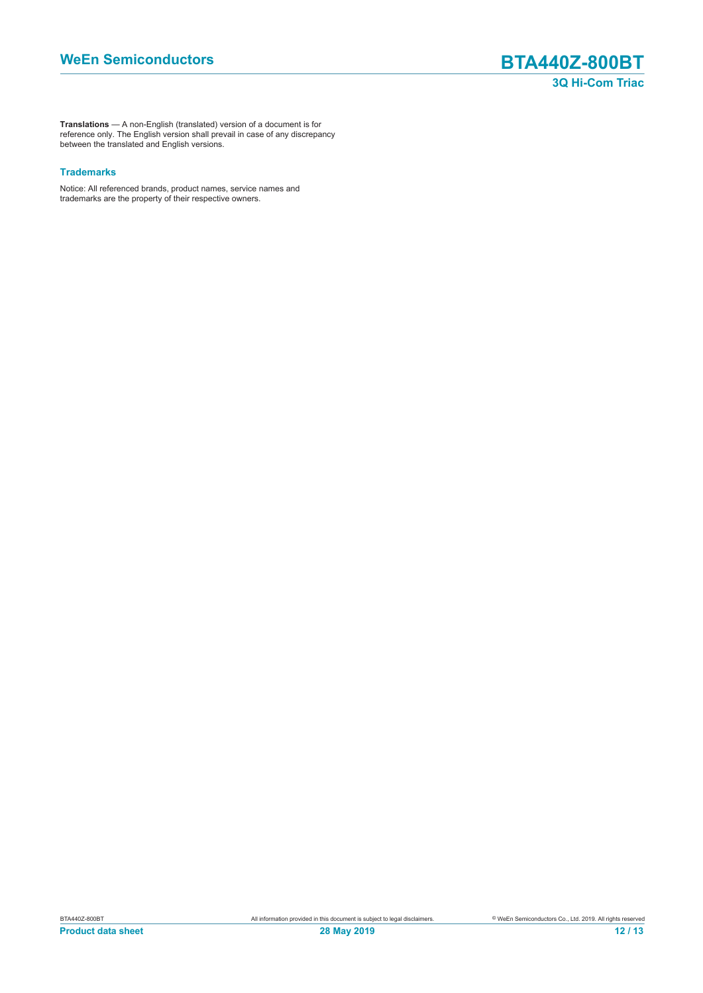**Translations** — A non-English (translated) version of a document is for reference only. The English version shall prevail in case of any discrepancy between the translated and English versions.

#### **Trademarks**

Notice: All referenced brands, product names, service names and trademarks are the property of their respective owners.